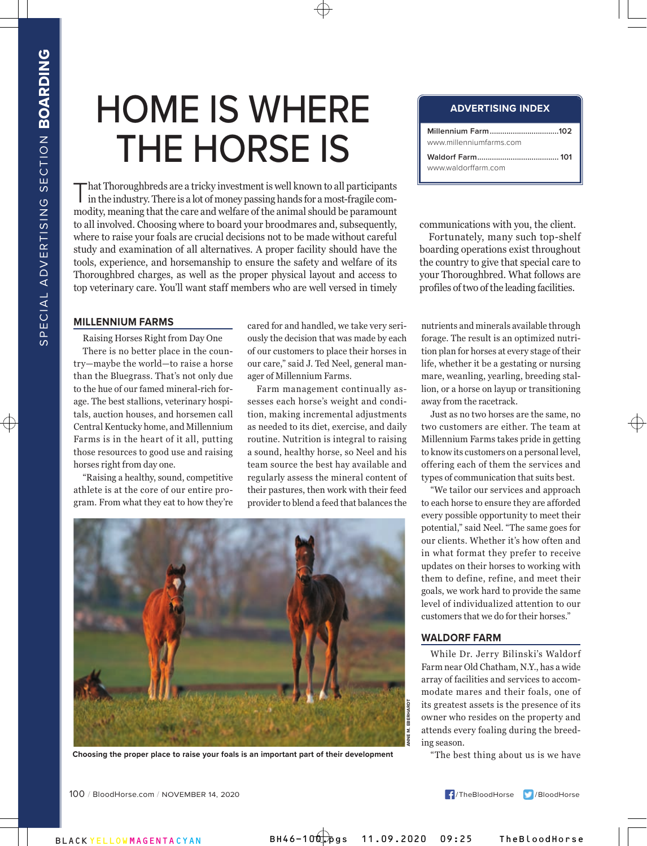# HOME IS WHERE THE HORSE IS

That Thoroughbreds are a tricky investment is well known to all participants in the industry. There is a lot of money passing hands for a most-fragile commodity, meaning that the care and welfare of the animal should be paramount to all involved. Choosing where to board your broodmares and, subsequently, where to raise your foals are crucial decisions not to be made without careful study and examination of all alternatives. A proper facility should have the tools, experience, and horsemanship to ensure the safety and welfare of its Thoroughbred charges, as well as the proper physical layout and access to top veterinary care. You'll want staff members who are well versed in timely

## **MILLENNIUM FARMS**

Raising Horses Right from Day One There is no better place in the country—maybe the world—to raise a horse than the Bluegrass. That's not only due to the hue of our famed mineral-rich forage. The best stallions, veterinary hospitals, auction houses, and horsemen call Central Kentucky home, and Millennium Farms is in the heart of it all, putting those resources to good use and raising horses right from day one.

"Raising a healthy, sound, competitive athlete is at the core of our entire program. From what they eat to how they're

cared for and handled, we take very seriously the decision that was made by each of our customers to place their horses in our care," said J. Ted Neel, general manager of Millennium Farms.

Farm management continually assesses each horse's weight and condition, making incremental adjustments as needed to its diet, exercise, and daily routine. Nutrition is integral to raising a sound, healthy horse, so Neel and his team source the best hay available and regularly assess the mineral content of their pastures, then work with their feed provider to blend a feed that balances the



**Choosing the proper place to raise your foals is an important part of their development**

#### **ADVERTISING INDEX**

| www.millenniumfarms.com |  |
|-------------------------|--|
|                         |  |

communications with you, the client.

Fortunately, many such top-shelf boarding operations exist throughout the country to give that special care to your Thoroughbred. What follows are profiles of two of the leading facilities.

nutrients and minerals available through forage. The result is an optimized nutrition plan for horses at every stage of their life, whether it be a gestating or nursing mare, weanling, yearling, breeding stallion, or a horse on layup or transitioning away from the racetrack.

Just as no two horses are the same, no two customers are either. The team at Millennium Farms takes pride in getting to know its customers on a personal level, offering each of them the services and types of communication that suits best.

"We tailor our services and approach to each horse to ensure they are afforded every possible opportunity to meet their potential," said Neel. "The same goes for our clients. Whether it's how often and in what format they prefer to receive updates on their horses to working with them to define, refine, and meet their goals, we work hard to provide the same level of individualized attention to our customers that we do for their horses."

## **WALDORF FARM**

While Dr. Jerry Bilinski's Waldorf Farm near Old Chatham, N.Y., has a wide array of facilities and services to accommodate mares and their foals, one of its greatest assets is the presence of its owner who resides on the property and attends every foaling during the breeding season.

"The best thing about us is we have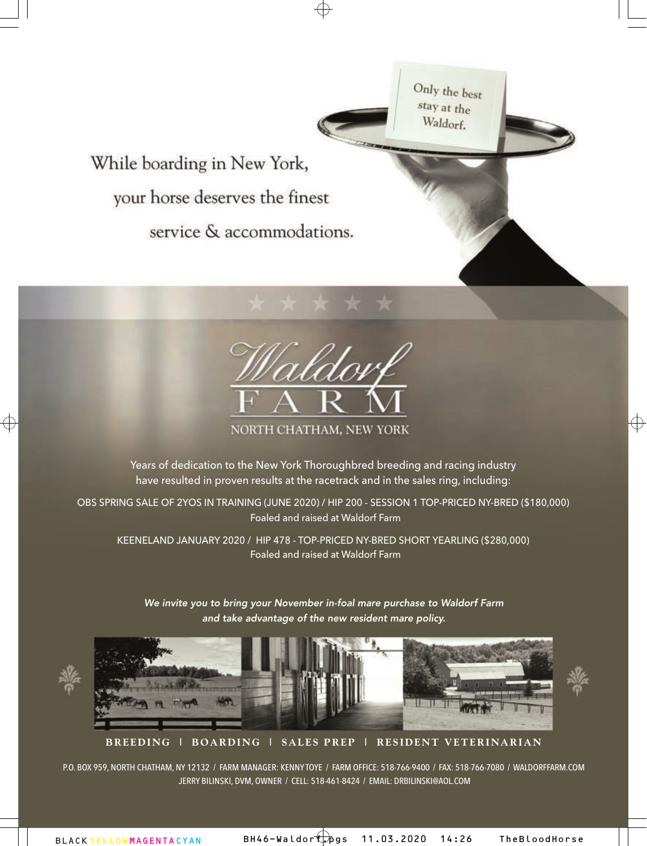Only the best stay at the Waldorf. While boarding in New York, your horse deserves the finest service & accommodations.



NORTH CHATHAM, NEW YORK

Years of dedication to the New York Thoroughbred breeding and racing industry have resulted in proven results at the racetrack and in the sales ring, including:

OBS SPRING SALE OF 2YOS IN TRAINING (JUNE 2020) / HIP 200 - SESSION 1 TOP-PRICED NY-BRED (\$180,000) Foaled and raised at Waldorf Farm

KEENELAND JANUARY 2020 / HIP 478 - TOP-PRICED NY-BRED SHORT YEARLING (\$280,000) Foaled and raised at Waldorf Farm

We invite you to bring your November in-foal mare purchase to Waldorf Farm and take advantage of the new resident mare policy.



**BREEDING | BOARDING | SALES PREP | RESIDENT VETERINARIAN**

P.O. BOX 959, NORTH CHATHAM, NY 12132 / FARM MANAGER: KENNY TOYE / FARM OFFICE: 518-766-9400 / FAX: 518-766-7080 / [WALDORFFARM.COM](www.waldorffarm.com) JERRY BILINSKI, DVM, OWNER / CELL: 518-461-8424 / EMAIL: [DRBILINSKI@AOL.COM](mailto:DRBILINSKI@AOL.COM)